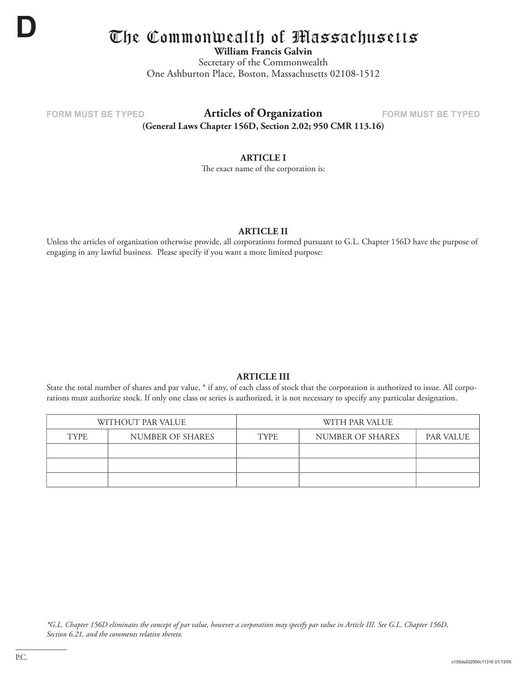

# The Commonwealth of Massachusetts

**William Francis Galvin**

Secretary of the Commonwealth One Ashburton Place, Boston, Massachusetts 02108-1512

## **FORM MUST BE TYPED FORM MUST BE TYPED Articles of Organization**

**(General Laws Chapter 156D, Section 2.02; 950 CMR 113.16)**

#### **ARTICLE I**

The exact name of the corporation is:

#### **ARTICLE II**

Unless the articles of organization otherwise provide, all corporations formed pursuant to G.L. Chapter 156D have the purpose of engaging in any lawful business. Please specify if you want a more limited purpose:

#### **ARTICLE III**

State the total number of shares and par value, \* if any, of each class of stock that the corporation is authorized to issue. All corporations must authorize stock. If only one class or series is authorized, it is not necessary to specify any particular designation.

| WITHOUT PAR VALUE |                  | WITH PAR VALUE |                  |                  |  |
|-------------------|------------------|----------------|------------------|------------------|--|
| TYPE.             | NUMBER OF SHARES | <b>TYPE</b>    | NUMBER OF SHARES | <b>PAR VALUE</b> |  |
|                   |                  |                |                  |                  |  |
|                   |                  |                |                  |                  |  |
|                   |                  |                |                  |                  |  |

*\*G.L. Chapter 156D eliminates the concept of par value, however a corporation may specify par value in Article III. See G.L. Chapter 156D, Section 6.21, and the comments relative thereto.*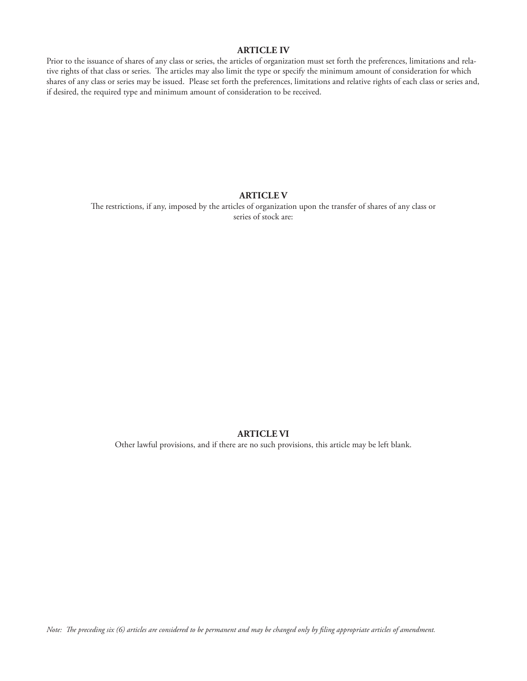#### **ARTICLE IV**

Prior to the issuance of shares of any class or series, the articles of organization must set forth the preferences, limitations and relative rights of that class or series. The articles may also limit the type or specify the minimum amount of consideration for which shares of any class or series may be issued. Please set forth the preferences, limitations and relative rights of each class or series and, if desired, the required type and minimum amount of consideration to be received.

#### **ARTICLE V**

The restrictions, if any, imposed by the articles of organization upon the transfer of shares of any class or series of stock are:

#### **ARTICLE VI**

Other lawful provisions, and if there are no such provisions, this article may be left blank.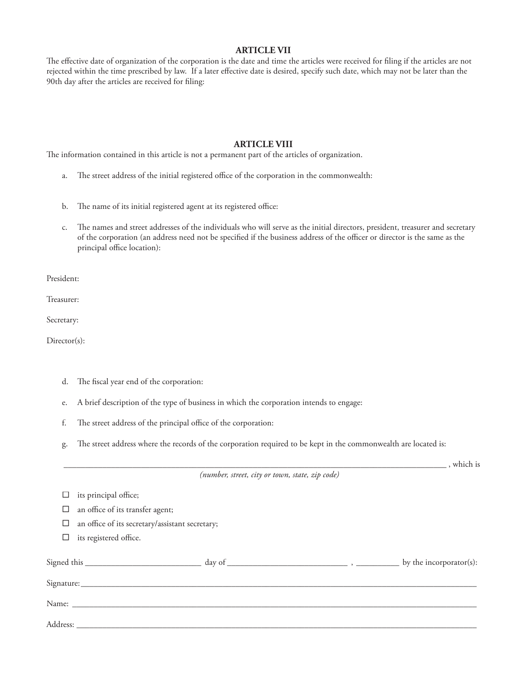#### **ARTICLE VII**

The effective date of organization of the corporation is the date and time the articles were received for filing if the articles are not rejected within the time prescribed by law. If a later effective date is desired, specify such date, which may not be later than the 90th day after the articles are received for filing:

#### **ARTICLE VIII**

The information contained in this article is not a permanent part of the articles of organization.

- a. The street address of the initial registered office of the corporation in the commonwealth:
- b. The name of its initial registered agent at its registered office:
- c. The names and street addresses of the individuals who will serve as the initial directors, president, treasurer and secretary of the corporation (an address need not be specified if the business address of the officer or director is the same as the principal office location):

President:

Treasurer:

Secretary:

Director(s):

- d. The fiscal year end of the corporation:
- e. A brief description of the type of business in which the corporation intends to engage:
- f. The street address of the principal office of the corporation:
- g. The street address where the records of the corporation required to be kept in the commonwealth are located is:

|                                                 | , which is              |
|-------------------------------------------------|-------------------------|
| (number, street, city or town, state, zip code) |                         |
| its principal office;                           |                         |
| an office of its transfer agent;                |                         |
| an office of its secretary/assistant secretary; |                         |
| its registered office.                          |                         |
|                                                 | by the incorporator(s): |
|                                                 |                         |
|                                                 |                         |
|                                                 |                         |